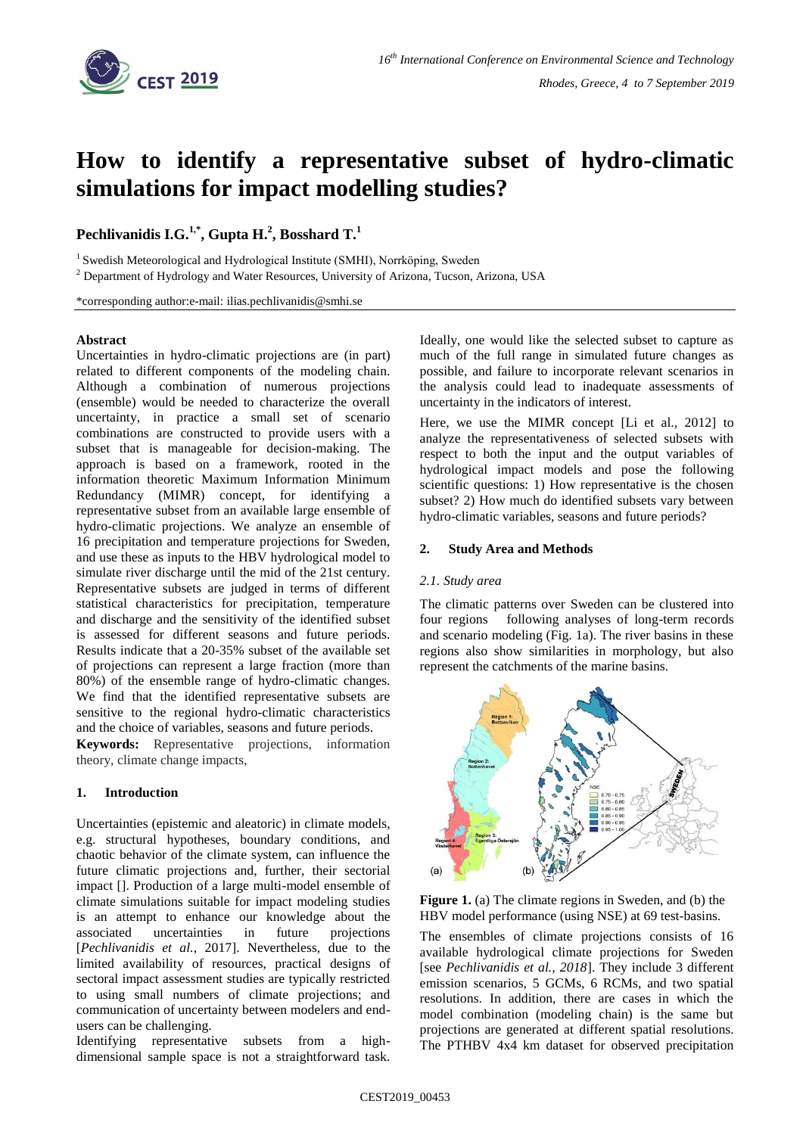

# **How to identify a representative subset of hydro-climatic simulations for impact modelling studies?**

**Pechlivanidis I.G. 1,\* , Gupta H. 2 , Bosshard T. 1** 

<sup>1</sup> Swedish Meteorological and Hydrological Institute (SMHI), Norrköping, Sweden

<sup>2</sup> Department of Hydrology and Water Resources, University of Arizona, Tucson, Arizona, USA

\*corresponding author:e-mail: ilias.pechlivanidis@smhi.se

### **Abstract**

Uncertainties in hydro-climatic projections are (in part) related to different components of the modeling chain. Although a combination of numerous projections (ensemble) would be needed to characterize the overall uncertainty, in practice a small set of scenario combinations are constructed to provide users with a subset that is manageable for decision-making. The approach is based on a framework, rooted in the information theoretic Maximum Information Minimum Redundancy (MIMR) concept, for identifying a representative subset from an available large ensemble of hydro-climatic projections. We analyze an ensemble of 16 precipitation and temperature projections for Sweden, and use these as inputs to the HBV hydrological model to simulate river discharge until the mid of the 21st century. Representative subsets are judged in terms of different statistical characteristics for precipitation, temperature and discharge and the sensitivity of the identified subset is assessed for different seasons and future periods. Results indicate that a 20-35% subset of the available set of projections can represent a large fraction (more than 80%) of the ensemble range of hydro-climatic changes. We find that the identified representative subsets are sensitive to the regional hydro-climatic characteristics and the choice of variables, seasons and future periods.

**Keywords:** Representative projections, information theory, climate change impacts,

# **1. Introduction**

Uncertainties (epistemic and aleatoric) in climate models, e.g. structural hypotheses, boundary conditions, and chaotic behavior of the climate system, can influence the future climatic projections and, further, their sectorial impact []. Production of a large multi-model ensemble of climate simulations suitable for impact modeling studies is an attempt to enhance our knowledge about the associated uncertainties in future projections [*Pechlivanidis et al.*, 2017]. Nevertheless, due to the limited availability of resources, practical designs of sectoral impact assessment studies are typically restricted to using small numbers of climate projections; and communication of uncertainty between modelers and endusers can be challenging.

Identifying representative subsets from a highdimensional sample space is not a straightforward task.

Ideally, one would like the selected subset to capture as much of the full range in simulated future changes as possible, and failure to incorporate relevant scenarios in the analysis could lead to inadequate assessments of uncertainty in the indicators of interest.

Here, we use the MIMR concept [Li et al., 2012] to analyze the representativeness of selected subsets with respect to both the input and the output variables of hydrological impact models and pose the following scientific questions: 1) How representative is the chosen subset? 2) How much do identified subsets vary between hydro-climatic variables, seasons and future periods?

### **2. Study Area and Methods**

# *2.1. Study area*

The climatic patterns over Sweden can be clustered into four regions following analyses of long-term records and scenario modeling (Fig. 1a). The river basins in these regions also show similarities in morphology, but also represent the catchments of the marine basins.



**Figure 1.** (a) The climate regions in Sweden, and (b) the HBV model performance (using NSE) at 69 test-basins.

The ensembles of climate projections consists of 16 available hydrological climate projections for Sweden [see *Pechlivanidis et al., 2018*]. They include 3 different emission scenarios, 5 GCMs, 6 RCMs, and two spatial resolutions. In addition, there are cases in which the model combination (modeling chain) is the same but projections are generated at different spatial resolutions. The PTHBV 4x4 km dataset for observed precipitation